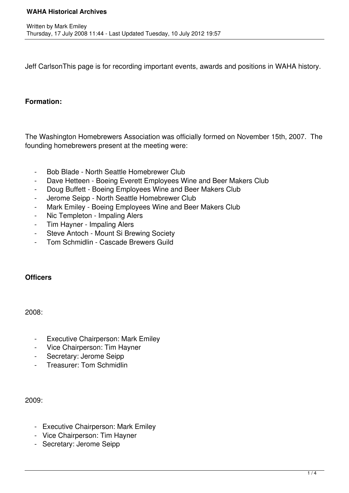Jeff CarlsonThis page is for recording important events, awards and positions in WAHA history.

## **Formation:**

The Washington Homebrewers Association was officially formed on November 15th, 2007. The founding homebrewers present at the meeting were:

- Bob Blade North Seattle Homebrewer Club
- Dave Hetteen Boeing Everett Employees Wine and Beer Makers Club
- Doug Buffett Boeing Employees Wine and Beer Makers Club
- Jerome Seipp North Seattle Homebrewer Club
- Mark Emiley Boeing Employees Wine and Beer Makers Club
- Nic Templeton Impaling Alers
- Tim Hayner Impaling Alers
- Steve Antoch Mount Si Brewing Society
- Tom Schmidlin Cascade Brewers Guild

## **Officers**

2008:

- Executive Chairperson: Mark Emiley
- Vice Chairperson: Tim Hayner
- Secretary: Jerome Seipp
- Treasurer: Tom Schmidlin

2009:

- Executive Chairperson: Mark Emiley
- Vice Chairperson: Tim Hayner
- Secretary: Jerome Seipp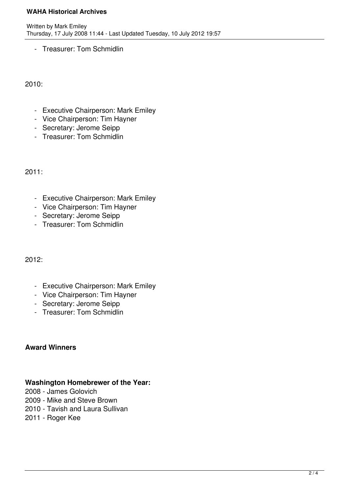### **WAHA Historical Archives**

- Treasurer: Tom Schmidlin

2010:

- Executive Chairperson: Mark Emiley
- Vice Chairperson: Tim Hayner
- Secretary: Jerome Seipp
- Treasurer: Tom Schmidlin

2011:

- Executive Chairperson: Mark Emiley
- Vice Chairperson: Tim Hayner
- Secretary: Jerome Seipp
- Treasurer: Tom Schmidlin

2012:

- Executive Chairperson: Mark Emiley
- Vice Chairperson: Tim Hayner
- Secretary: Jerome Seipp
- Treasurer: Tom Schmidlin

# **Award Winners**

# **Washington Homebrewer of the Year:**

2008 - James Golovich

- 2009 Mike and Steve Brown
- 2010 Tavish and Laura Sullivan
- 2011 Roger Kee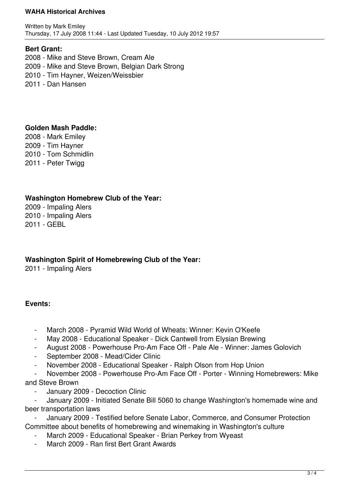#### **WAHA Historical Archives**

Written by Mark Emiley Thursday, 17 July 2008 11:44 - Last Updated Tuesday, 10 July 2012 19:57

### **Bert Grant:**

2008 - Mike and Steve Brown, Cream Ale 2009 - Mike and Steve Brown, Belgian Dark Strong 2010 - Tim Hayner, Weizen/Weissbier 2011 - Dan Hansen

#### **Golden Mash Paddle:**

2008 - Mark Emiley 2009 - Tim Hayner 2010 - Tom Schmidlin 2011 - Peter Twigg

### **Washington Homebrew Club of the Year:**

2009 - Impaling Alers 2010 - Impaling Alers 2011 - GEBL

**Washington Spirit of Homebrewing Club of the Year:**

2011 - Impaling Alers

## **Events:**

- March 2008 Pyramid Wild World of Wheats: Winner: Kevin O'Keefe
- May 2008 Educational Speaker Dick Cantwell from Elysian Brewing
- August 2008 Powerhouse Pro-Am Face Off Pale Ale Winner: James Golovich
- September 2008 Mead/Cider Clinic
- November 2008 Educational Speaker Ralph Olson from Hop Union

 - November 2008 - Powerhouse Pro-Am Face Off - Porter - Winning Homebrewers: Mike and Steve Brown

January 2009 - Decoction Clinic

 - January 2009 - Initiated Senate Bill 5060 to change Washington's homemade wine and beer transportation laws

 - January 2009 - Testified before Senate Labor, Commerce, and Consumer Protection Committee about benefits of homebrewing and winemaking in Washington's culture

- March 2009 Educational Speaker Brian Perkey from Wyeast
- March 2009 Ran first Bert Grant Awards